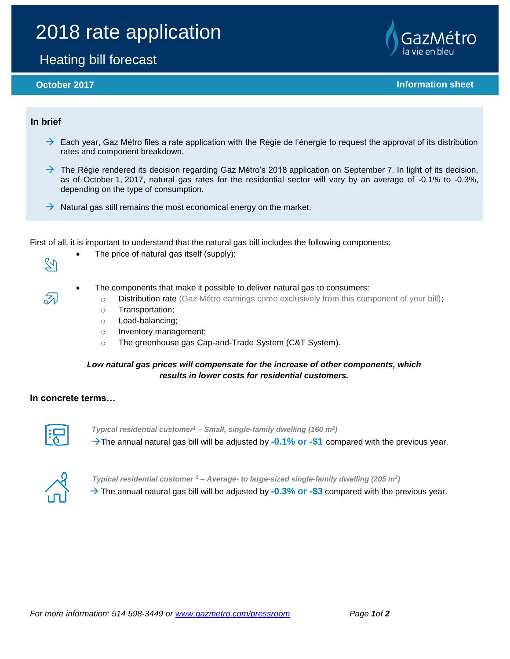# 2018 rate application

## Heating bill forecast

**October 2017 Information sheet** 

#### **In brief**

 $\mathbb{Z}$ 

 $\overline{\mathcal{Z}}$ 

- $\rightarrow$  Each year, Gaz Métro files a rate application with the Régie de l'énergie to request the approval of its distribution rates and component breakdown.
- $\rightarrow$  The Régie rendered its decision regarding Gaz Métro's 2018 application on September 7. In light of its decision, as of October 1, 2017, natural gas rates for the residential sector will vary by an average of -0.1% to -0.3%, depending on the type of consumption.
- $\rightarrow$  Natural gas still remains the most economical energy on the market.

First of all, it is important to understand that the natural gas bill includes the following components:

- The price of natural gas itself (supply);
- The components that make it possible to deliver natural gas to consumers:
	- o Distribution rate (Gaz Métro earnings come exclusively from this component of your bill);
	- o Transportation;
	- o Load-balancing;
	- o Inventory management;
	- o The greenhouse gas Cap-and-Trade System (C&T System).

### *Low natural gas prices will compensate for the increase of other components, which results in lower costs for residential customers.*

#### **In concrete terms…**



*Typical residential customer<sup>1</sup> – Small, single-family dwelling (160 m<sup>2</sup> )*  $\rightarrow$  The annual natural gas bill will be adjusted by **-0.1% or -\$1** compared with the previous year.



*Typical residential customer <sup>2</sup> – Average- to large-sized single-family dwelling (205 m<sup>2</sup> )*

 $\rightarrow$  The annual natural gas bill will be adjusted by **-0.3% or -\$3** compared with the previous year.